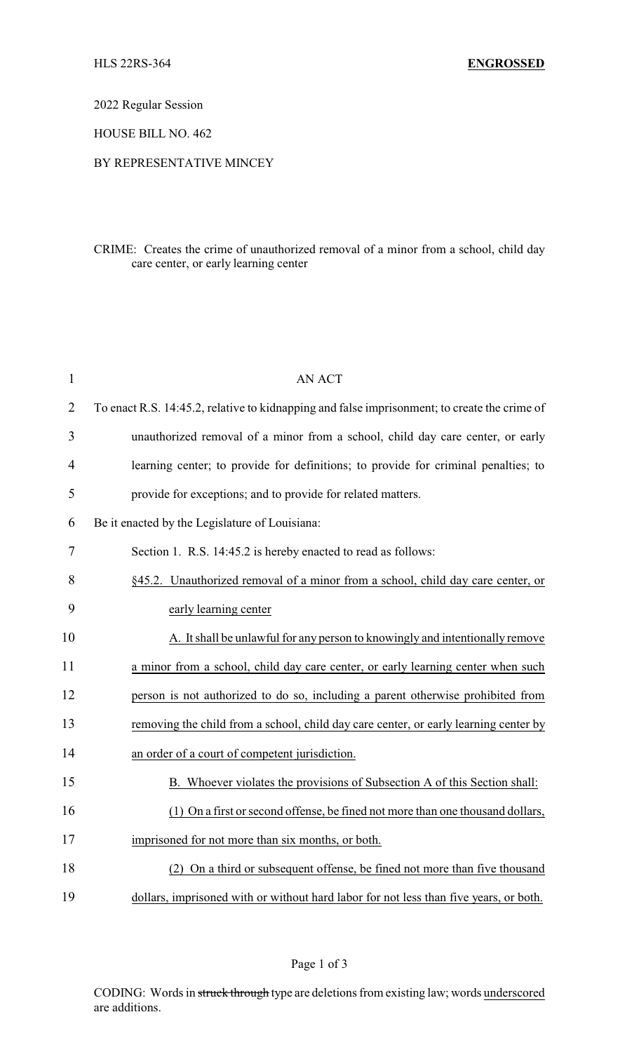2022 Regular Session

HOUSE BILL NO. 462

## BY REPRESENTATIVE MINCEY

## CRIME: Creates the crime of unauthorized removal of a minor from a school, child day care center, or early learning center

| $\mathbf{1}$   | <b>AN ACT</b>                                                                                |
|----------------|----------------------------------------------------------------------------------------------|
| $\overline{2}$ | To enact R.S. 14:45.2, relative to kidnapping and false imprisonment; to create the crime of |
| 3              | unauthorized removal of a minor from a school, child day care center, or early               |
| $\overline{4}$ | learning center; to provide for definitions; to provide for criminal penalties; to           |
| 5              | provide for exceptions; and to provide for related matters.                                  |
| 6              | Be it enacted by the Legislature of Louisiana:                                               |
| 7              | Section 1. R.S. 14:45.2 is hereby enacted to read as follows:                                |
| 8              | §45.2. Unauthorized removal of a minor from a school, child day care center, or              |
| 9              | early learning center                                                                        |
| 10             | A. It shall be unlawful for any person to knowingly and intentionally remove                 |
| 11             | a minor from a school, child day care center, or early learning center when such             |
| 12             | person is not authorized to do so, including a parent otherwise prohibited from              |
| 13             | removing the child from a school, child day care center, or early learning center by         |
| 14             | an order of a court of competent jurisdiction.                                               |
| 15             | B. Whoever violates the provisions of Subsection A of this Section shall:                    |
| 16             | (1) On a first or second offense, be fined not more than one thousand dollars,               |
| 17             | imprisoned for not more than six months, or both.                                            |
| 18             | (2) On a third or subsequent offense, be fined not more than five thousand                   |
| 19             | dollars, imprisoned with or without hard labor for not less than five years, or both.        |

CODING: Words in struck through type are deletions from existing law; words underscored are additions.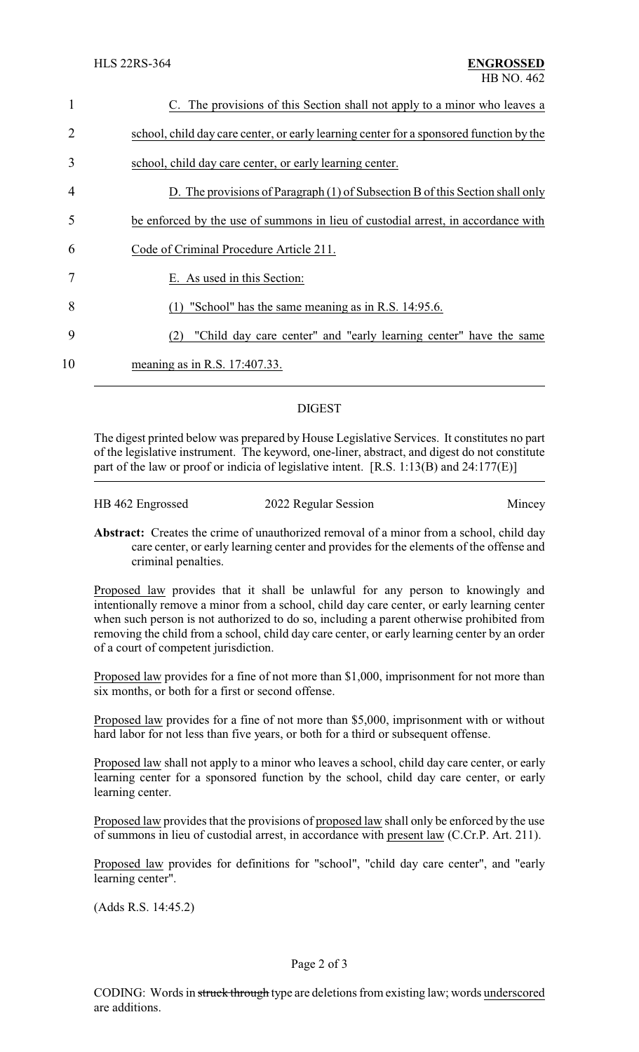| 1                           | C. The provisions of this Section shall not apply to a minor who leaves a               |
|-----------------------------|-----------------------------------------------------------------------------------------|
| $\mathcal{D}_{\mathcal{L}}$ | school, child day care center, or early learning center for a sponsored function by the |
| 3                           | school, child day care center, or early learning center.                                |
| 4                           | D. The provisions of Paragraph (1) of Subsection B of this Section shall only           |
| 5                           | be enforced by the use of summons in lieu of custodial arrest, in accordance with       |
| 6                           | Code of Criminal Procedure Article 211.                                                 |
|                             | E. As used in this Section:                                                             |
| 8                           | "School" has the same meaning as in R.S. 14:95.6.                                       |
| 9                           | "Child day care center" and "early learning center" have the same<br>(2)                |
| 10                          | meaning as in R.S. 17:407.33.                                                           |
|                             |                                                                                         |

## DIGEST

The digest printed below was prepared by House Legislative Services. It constitutes no part of the legislative instrument. The keyword, one-liner, abstract, and digest do not constitute part of the law or proof or indicia of legislative intent. [R.S. 1:13(B) and 24:177(E)]

| HB 462 Engrossed | 2022 Regular Session | Mincey |
|------------------|----------------------|--------|
|                  |                      |        |

**Abstract:** Creates the crime of unauthorized removal of a minor from a school, child day care center, or early learning center and provides for the elements of the offense and criminal penalties.

Proposed law provides that it shall be unlawful for any person to knowingly and intentionally remove a minor from a school, child day care center, or early learning center when such person is not authorized to do so, including a parent otherwise prohibited from removing the child from a school, child day care center, or early learning center by an order of a court of competent jurisdiction.

Proposed law provides for a fine of not more than \$1,000, imprisonment for not more than six months, or both for a first or second offense.

Proposed law provides for a fine of not more than \$5,000, imprisonment with or without hard labor for not less than five years, or both for a third or subsequent offense.

Proposed law shall not apply to a minor who leaves a school, child day care center, or early learning center for a sponsored function by the school, child day care center, or early learning center.

Proposed law provides that the provisions of proposed law shall only be enforced by the use of summons in lieu of custodial arrest, in accordance with present law (C.Cr.P. Art. 211).

Proposed law provides for definitions for "school", "child day care center", and "early learning center".

(Adds R.S. 14:45.2)